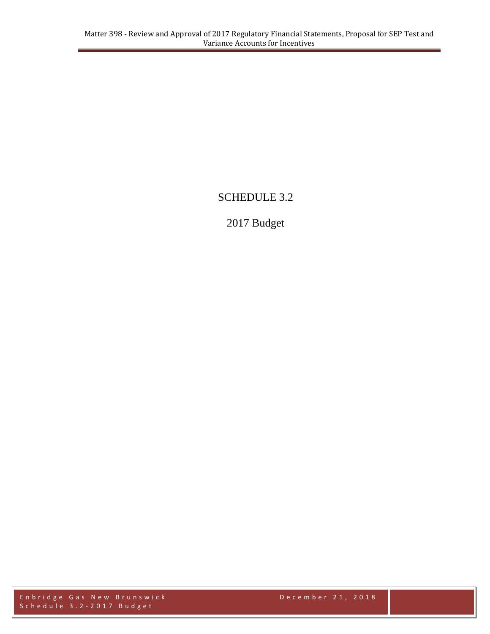# SCHEDULE 3.2

# 2017 Budget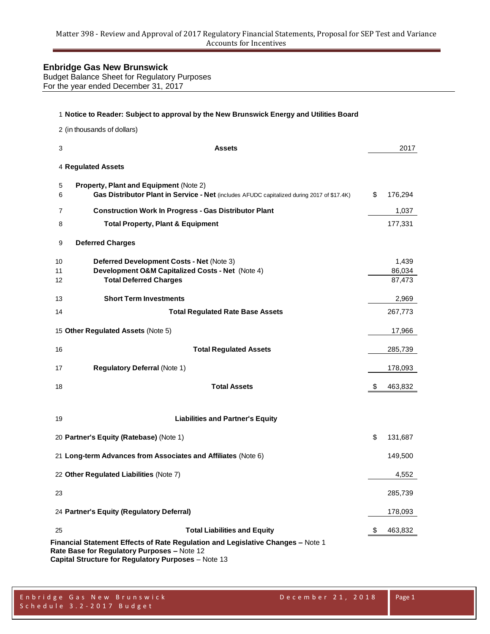Budget Balance Sheet for Regulatory Purposes For the year ended December 31, 2017

|                | 1 Notice to Reader: Subject to approval by the New Brunswick Energy and Utilities Board                                                                                               |                           |
|----------------|---------------------------------------------------------------------------------------------------------------------------------------------------------------------------------------|---------------------------|
|                | 2 (in thousands of dollars)                                                                                                                                                           |                           |
| 3              | <b>Assets</b>                                                                                                                                                                         | 2017                      |
|                | 4 Regulated Assets                                                                                                                                                                    |                           |
| 5<br>6         | Property, Plant and Equipment (Note 2)<br>Gas Distributor Plant in Service - Net (includes AFUDC capitalized during 2017 of \$17.4K)                                                  | \$<br>176,294             |
| $\overline{7}$ | <b>Construction Work In Progress - Gas Distributor Plant</b>                                                                                                                          | 1,037                     |
| 8              | <b>Total Property, Plant &amp; Equipment</b>                                                                                                                                          | 177,331                   |
| 9              | <b>Deferred Charges</b>                                                                                                                                                               |                           |
| 10<br>11<br>12 | Deferred Development Costs - Net (Note 3)<br>Development O&M Capitalized Costs - Net (Note 4)<br><b>Total Deferred Charges</b>                                                        | 1,439<br>86,034<br>87,473 |
| 13             | <b>Short Term Investments</b>                                                                                                                                                         | 2,969                     |
| 14             | <b>Total Regulated Rate Base Assets</b>                                                                                                                                               | 267,773                   |
|                | 15 Other Regulated Assets (Note 5)                                                                                                                                                    | 17,966                    |
| 16             | <b>Total Regulated Assets</b>                                                                                                                                                         | 285,739                   |
| 17             | <b>Regulatory Deferral (Note 1)</b>                                                                                                                                                   | 178,093                   |
| 18             | <b>Total Assets</b>                                                                                                                                                                   | \$<br>463,832             |
| 19             | <b>Liabilities and Partner's Equity</b>                                                                                                                                               |                           |
|                | 20 Partner's Equity (Ratebase) (Note 1)                                                                                                                                               | \$<br>131,687             |
|                | 21 Long-term Advances from Associates and Affiliates (Note 6)                                                                                                                         | 149,500                   |
|                | 22 Other Regulated Liabilities (Note 7)                                                                                                                                               | 4,552                     |
| 23             |                                                                                                                                                                                       | 285,739                   |
|                | 24 Partner's Equity (Regulatory Deferral)                                                                                                                                             | 178,093                   |
| 25             | <b>Total Liabilities and Equity</b>                                                                                                                                                   | 463,832                   |
|                | Financial Statement Effects of Rate Regulation and Legislative Changes - Note 1<br>Rate Base for Regulatory Purposes - Note 12<br>Capital Structure for Regulatory Purposes - Note 13 |                           |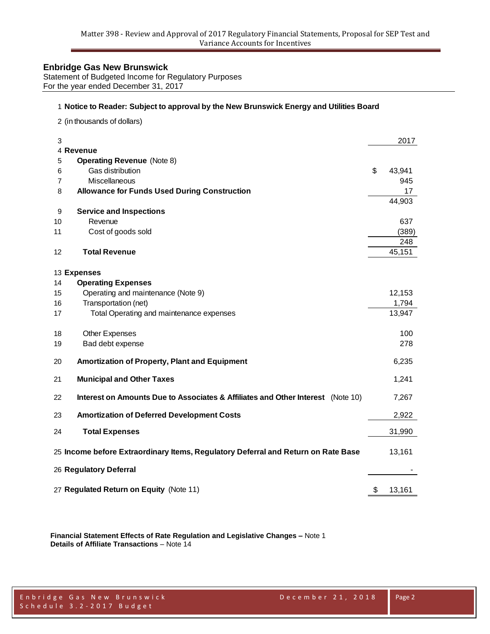Statement of Budgeted Income for Regulatory Purposes For the year ended December 31, 2017

#### **Notice to Reader: Subject to approval by the New Brunswick Energy and Utilities Board**

(in thousands of dollars)

| 3              |                                                                                   | 2017         |
|----------------|-----------------------------------------------------------------------------------|--------------|
|                | 4 Revenue                                                                         |              |
| 5              | <b>Operating Revenue (Note 8)</b>                                                 |              |
| 6              | Gas distribution                                                                  | \$<br>43,941 |
| $\overline{7}$ | Miscellaneous                                                                     | 945          |
| 8              | <b>Allowance for Funds Used During Construction</b>                               | 17           |
|                |                                                                                   | 44,903       |
| 9              | <b>Service and Inspections</b>                                                    |              |
| 10             | Revenue                                                                           | 637          |
| 11             | Cost of goods sold                                                                | (389)        |
|                |                                                                                   | 248          |
| 12             | <b>Total Revenue</b>                                                              | 45,151       |
|                |                                                                                   |              |
|                | 13 Expenses                                                                       |              |
| 14             | <b>Operating Expenses</b>                                                         |              |
| 15             | Operating and maintenance (Note 9)                                                | 12,153       |
| 16             | Transportation (net)                                                              | 1,794        |
| 17             | Total Operating and maintenance expenses                                          | 13,947       |
|                |                                                                                   |              |
| 18             | <b>Other Expenses</b>                                                             | 100          |
| 19             | Bad debt expense                                                                  | 278          |
| 20             | Amortization of Property, Plant and Equipment                                     | 6,235        |
|                |                                                                                   |              |
| 21             | <b>Municipal and Other Taxes</b>                                                  | 1,241        |
| 22             | Interest on Amounts Due to Associates & Affiliates and Other Interest (Note 10)   | 7,267        |
| 23             | <b>Amortization of Deferred Development Costs</b>                                 | 2,922        |
| 24             | <b>Total Expenses</b>                                                             | 31,990       |
|                |                                                                                   |              |
|                | 25 Income before Extraordinary Items, Regulatory Deferral and Return on Rate Base | 13,161       |
|                | 26 Regulatory Deferral                                                            |              |
|                |                                                                                   |              |
|                | 27 Regulated Return on Equity (Note 11)                                           | \$<br>13,161 |
|                |                                                                                   |              |

**Financial Statement Effects of Rate Regulation and Legislative Changes –** Note 1 **Details of Affiliate Transactions** – Note 14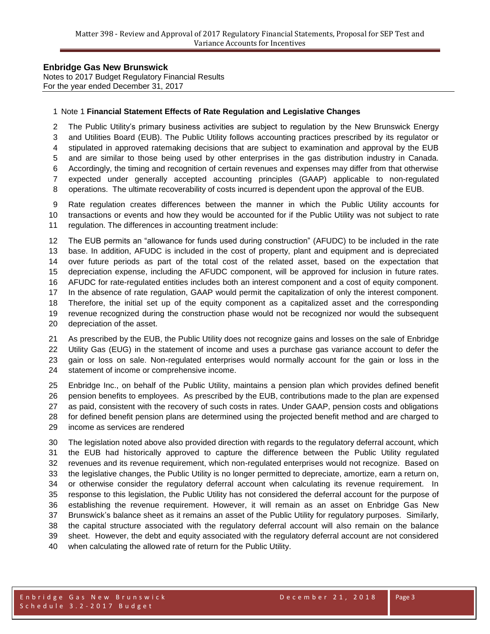Notes to 2017 Budget Regulatory Financial Results For the year ended December 31, 2017

#### Note 1 **Financial Statement Effects of Rate Regulation and Legislative Changes**

 The Public Utility's primary business activities are subject to regulation by the New Brunswick Energy and Utilities Board (EUB). The Public Utility follows accounting practices prescribed by its regulator or

stipulated in approved ratemaking decisions that are subject to examination and approval by the EUB

and are similar to those being used by other enterprises in the gas distribution industry in Canada.

Accordingly, the timing and recognition of certain revenues and expenses may differ from that otherwise

expected under generally accepted accounting principles (GAAP) applicable to non-regulated

operations. The ultimate recoverability of costs incurred is dependent upon the approval of the EUB.

 Rate regulation creates differences between the manner in which the Public Utility accounts for transactions or events and how they would be accounted for if the Public Utility was not subject to rate

regulation. The differences in accounting treatment include:

 The EUB permits an "allowance for funds used during construction" (AFUDC) to be included in the rate base. In addition, AFUDC is included in the cost of property, plant and equipment and is depreciated over future periods as part of the total cost of the related asset, based on the expectation that depreciation expense, including the AFUDC component, will be approved for inclusion in future rates. AFUDC for rate-regulated entities includes both an interest component and a cost of equity component. In the absence of rate regulation, GAAP would permit the capitalization of only the interest component. Therefore, the initial set up of the equity component as a capitalized asset and the corresponding revenue recognized during the construction phase would not be recognized nor would the subsequent depreciation of the asset.

 As prescribed by the EUB, the Public Utility does not recognize gains and losses on the sale of Enbridge Utility Gas (EUG) in the statement of income and uses a purchase gas variance account to defer the gain or loss on sale. Non-regulated enterprises would normally account for the gain or loss in the statement of income or comprehensive income.

 Enbridge Inc., on behalf of the Public Utility, maintains a pension plan which provides defined benefit pension benefits to employees. As prescribed by the EUB, contributions made to the plan are expensed as paid, consistent with the recovery of such costs in rates. Under GAAP, pension costs and obligations for defined benefit pension plans are determined using the projected benefit method and are charged to income as services are rendered

 The legislation noted above also provided direction with regards to the regulatory deferral account, which the EUB had historically approved to capture the difference between the Public Utility regulated revenues and its revenue requirement, which non-regulated enterprises would not recognize. Based on the legislative changes, the Public Utility is no longer permitted to depreciate, amortize, earn a return on, or otherwise consider the regulatory deferral account when calculating its revenue requirement. In response to this legislation, the Public Utility has not considered the deferral account for the purpose of establishing the revenue requirement. However, it will remain as an asset on Enbridge Gas New Brunswick's balance sheet as it remains an asset of the Public Utility for regulatory purposes. Similarly, the capital structure associated with the regulatory deferral account will also remain on the balance sheet. However, the debt and equity associated with the regulatory deferral account are not considered when calculating the allowed rate of return for the Public Utility.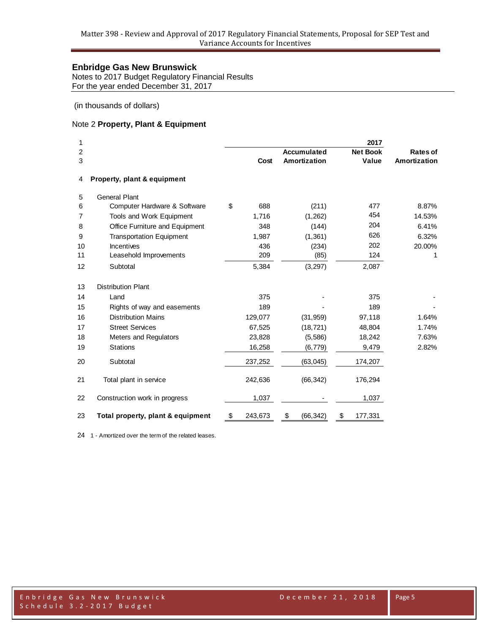Notes to 2017 Budget Regulatory Financial Results For the year ended December 31, 2017

(in thousands of dollars)

## Note 2 **Property, Plant & Equipment**

| 1<br>2<br>3 |                                   | Cost          | <b>Accumulated</b><br><b>Amortization</b> | 2017<br><b>Net Book</b><br>Value | Rates of<br>Amortization |
|-------------|-----------------------------------|---------------|-------------------------------------------|----------------------------------|--------------------------|
| 4           | Property, plant & equipment       |               |                                           |                                  |                          |
| 5           | <b>General Plant</b>              |               |                                           |                                  |                          |
| 6           | Computer Hardware & Software      | \$<br>688     | (211)                                     | 477                              | 8.87%                    |
| 7           | Tools and Work Equipment          | 1,716         | (1, 262)                                  | 454                              | 14.53%                   |
| 8           | Office Furniture and Equipment    | 348           | (144)                                     | 204                              | 6.41%                    |
| 9           | <b>Transportation Equipment</b>   | 1,987         | (1, 361)                                  | 626                              | 6.32%                    |
| 10          | Incentives                        | 436           | (234)                                     | 202                              | 20.00%                   |
| 11          | Leasehold Improvements            | 209           | (85)                                      | 124                              | 1                        |
| 12          | Subtotal                          | 5,384         | (3,297)                                   | 2,087                            |                          |
| 13          | <b>Distribution Plant</b>         |               |                                           |                                  |                          |
| 14          | Land                              | 375           |                                           | 375                              |                          |
| 15          | Rights of way and easements       | 189           |                                           | 189                              |                          |
| 16          | <b>Distribution Mains</b>         | 129,077       | (31, 959)                                 | 97,118                           | 1.64%                    |
| 17          | <b>Street Services</b>            | 67,525        | (18, 721)                                 | 48,804                           | 1.74%                    |
| 18          | Meters and Regulators             | 23,828        | (5,586)                                   | 18,242                           | 7.63%                    |
| 19          | <b>Stations</b>                   | 16,258        | (6, 779)                                  | 9,479                            | 2.82%                    |
| 20          | Subtotal                          | 237,252       | (63, 045)                                 | 174,207                          |                          |
| 21          | Total plant in service            | 242,636       | (66, 342)                                 | 176,294                          |                          |
| 22          | Construction work in progress     | 1,037         |                                           | 1,037                            |                          |
| 23          | Total property, plant & equipment | \$<br>243,673 | \$<br>(66, 342)                           | \$<br>177,331                    |                          |

1 - Amortized over the term of the related leases.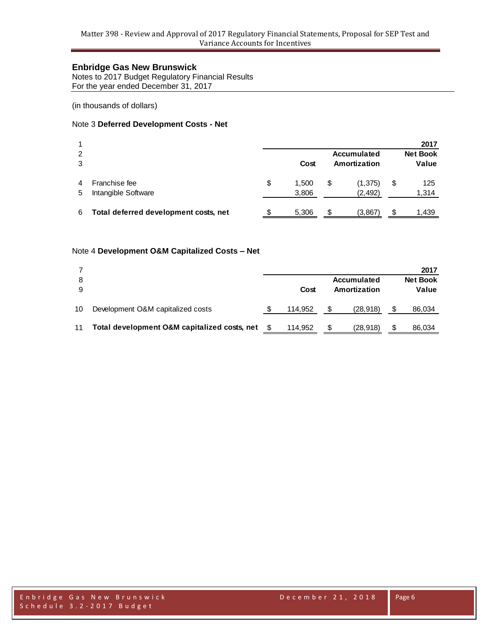Notes to 2017 Budget Regulatory Financial Results For the year ended December 31, 2017

(in thousands of dollars)

#### Note 3 **Deferred Development Costs - Net**

|   |                                       |                    |              |                 | 2017      |
|---|---------------------------------------|--------------------|--------------|-----------------|-----------|
| 2 |                                       | <b>Accumulated</b> |              | <b>Net Book</b> |           |
| 3 |                                       | Cost               | Amortization |                 | Value     |
|   | Franchise fee                         | \$<br>1.500        | S            | (1,375)         | \$<br>125 |
| 5 | Intangible Software                   | 3,806              |              | (2, 492)        | 1,314     |
| 6 | Total deferred development costs, net | 5.306              |              | (3,867)         | 1.439     |

#### Note 4 **Development O&M Capitalized Costs – Net**

|    |                                              |  |         |              |                    | 2017            |
|----|----------------------------------------------|--|---------|--------------|--------------------|-----------------|
| 8  |                                              |  |         |              | <b>Accumulated</b> | <b>Net Book</b> |
| 9  |                                              |  | Cost    | Amortization |                    | Value           |
| 10 | Development O&M capitalized costs            |  | 114.952 |              | (28, 918)          | 86,034          |
| 11 | Total development O&M capitalized costs, net |  | 114.952 |              | (28, 918)          | 86,034          |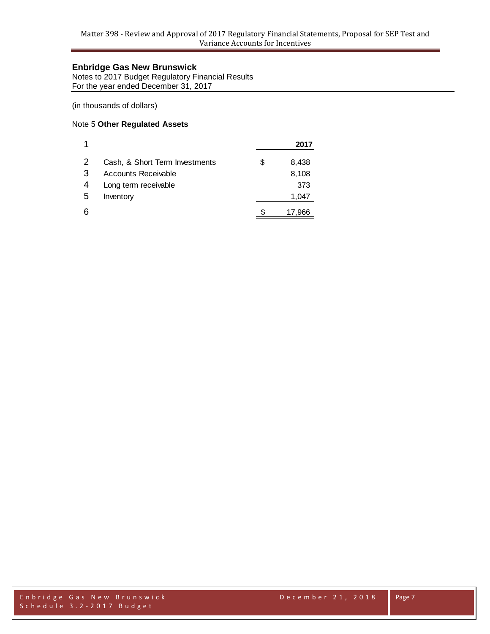Notes to 2017 Budget Regulatory Financial Results For the year ended December 31, 2017

(in thousands of dollars)

## Note 5 **Other Regulated Assets**

|    |                                | 2017        |
|----|--------------------------------|-------------|
| -2 | Cash, & Short Term Investments | \$<br>8,438 |
| 3  | Accounts Receivable            | 8,108       |
| 4  | Long term receivable           | 373         |
| .5 | Inventory                      | 1,047       |
| 6  |                                | 17,966      |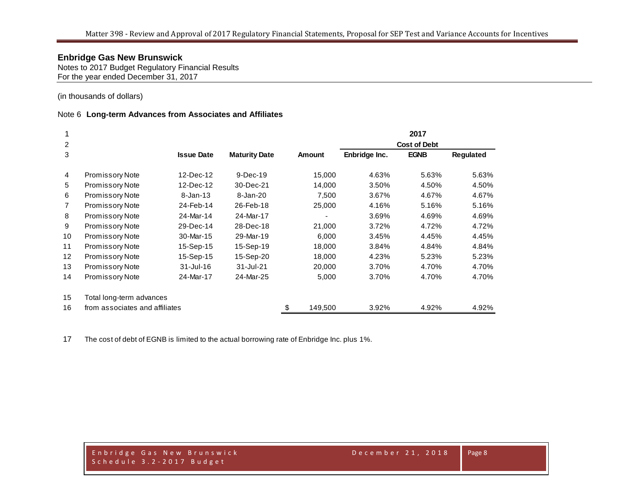Notes to 2017 Budget Regulatory Financial Results For the year ended December 31, 2017

(in thousands of dollars)

#### Note 6 **Long-term Advances from Associates and Affiliates**

|                        |                   |                                                            |               |                     | 2017        |                  |  |
|------------------------|-------------------|------------------------------------------------------------|---------------|---------------------|-------------|------------------|--|
|                        |                   |                                                            |               | <b>Cost of Debt</b> |             |                  |  |
|                        | <b>Issue Date</b> | <b>Maturity Date</b>                                       | <b>Amount</b> | Enbridge Inc.       | <b>EGNB</b> | <b>Regulated</b> |  |
| Promissory Note        | 12-Dec-12         | $9-Dec-19$                                                 | 15,000        | 4.63%               | 5.63%       | 5.63%            |  |
| Promissory Note        | 12-Dec-12         | 30-Dec-21                                                  | 14,000        | 3.50%               | 4.50%       | 4.50%            |  |
| Promissory Note        | $8 - Jan - 13$    | 8-Jan-20                                                   | 7,500         | 3.67%               | 4.67%       | 4.67%            |  |
| <b>Promissory Note</b> | 24-Feb-14         | 26-Feb-18                                                  | 25,000        | 4.16%               | 5.16%       | 5.16%            |  |
| <b>Promissory Note</b> | 24-Mar-14         | 24-Mar-17                                                  |               | 3.69%               | 4.69%       | 4.69%            |  |
| <b>Promissory Note</b> | 29-Dec-14         | 28-Dec-18                                                  | 21,000        | 3.72%               | 4.72%       | 4.72%            |  |
| Promissory Note        | 30-Mar-15         | 29-Mar-19                                                  | 6,000         | 3.45%               | 4.45%       | 4.45%            |  |
| Promissory Note        | 15-Sep-15         | 15-Sep-19                                                  | 18,000        | 3.84%               | 4.84%       | 4.84%            |  |
| Promissory Note        | 15-Sep-15         | 15-Sep-20                                                  | 18,000        | 4.23%               | 5.23%       | 5.23%            |  |
| <b>Promissory Note</b> | $31 -$ Jul $-16$  | 31-Jul-21                                                  | 20,000        | 3.70%               | 4.70%       | 4.70%            |  |
| <b>Promissory Note</b> | 24-Mar-17         | 24-Mar-25                                                  | 5,000         | 3.70%               | 4.70%       | 4.70%            |  |
|                        |                   |                                                            |               |                     |             |                  |  |
|                        |                   |                                                            | 149,500<br>\$ | 3.92%               | 4.92%       | 4.92%            |  |
|                        |                   | Total long-term advances<br>from associates and affiliates |               |                     |             |                  |  |

17 The cost of debt of EGNB is limited to the actual borrowing rate of Enbridge Inc. plus 1%.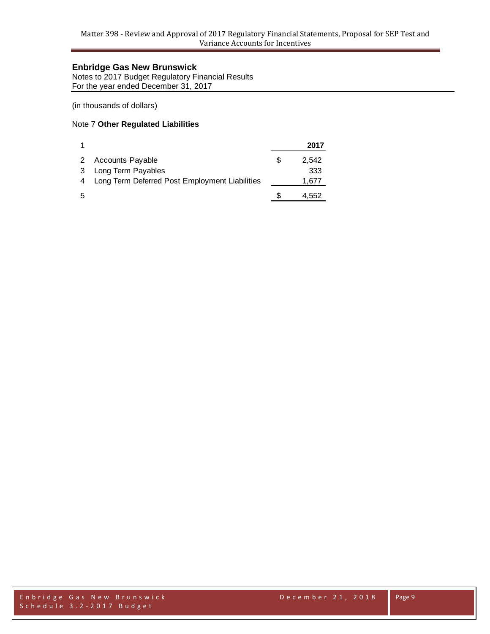Notes to 2017 Budget Regulatory Financial Results For the year ended December 31, 2017

(in thousands of dollars)

## Note 7 **Other Regulated Liabilities**

|   |                                                | 2017  |
|---|------------------------------------------------|-------|
| 2 | <b>Accounts Payable</b>                        | 2.542 |
| 3 | Long Term Payables                             | 333   |
|   | Long Term Deferred Post Employment Liabilities | 1,677 |
| 5 |                                                | 4,552 |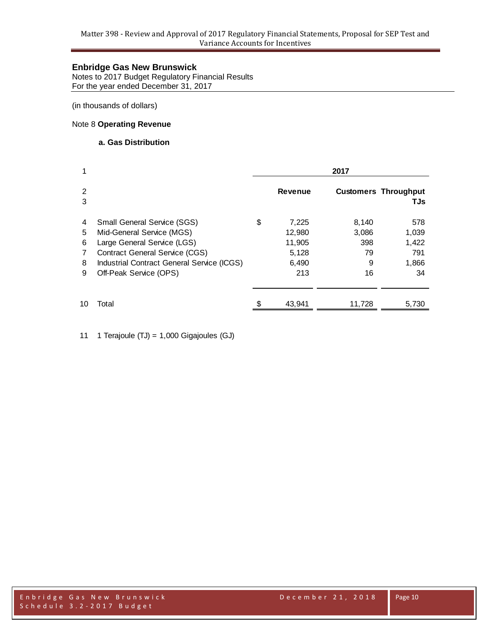Notes to 2017 Budget Regulatory Financial Results For the year ended December 31, 2017

(in thousands of dollars)

## Note 8 **Operating Revenue**

#### **a. Gas Distribution**

| 1                          |                                                                                                                                                                                                                 | 2017 |                                                    |                                        |                                             |  |
|----------------------------|-----------------------------------------------------------------------------------------------------------------------------------------------------------------------------------------------------------------|------|----------------------------------------------------|----------------------------------------|---------------------------------------------|--|
| 2<br>3                     |                                                                                                                                                                                                                 |      | <b>Revenue</b>                                     |                                        | <b>Customers Throughput</b><br>TJs          |  |
| 4<br>5<br>6<br>7<br>8<br>9 | <b>Small General Service (SGS)</b><br>Mid-General Service (MGS)<br>Large General Service (LGS)<br><b>Contract General Service (CGS)</b><br>Industrial Contract General Service (ICGS)<br>Off-Peak Service (OPS) | \$   | 7,225<br>12,980<br>11,905<br>5,128<br>6,490<br>213 | 8,140<br>3,086<br>398<br>79<br>9<br>16 | 578<br>1,039<br>1,422<br>791<br>1,866<br>34 |  |
| 10                         | Total                                                                                                                                                                                                           |      | 43,941                                             | 11,728                                 | 5,730                                       |  |

11 1 Terajoule (TJ) = 1,000 Gigajoules (GJ)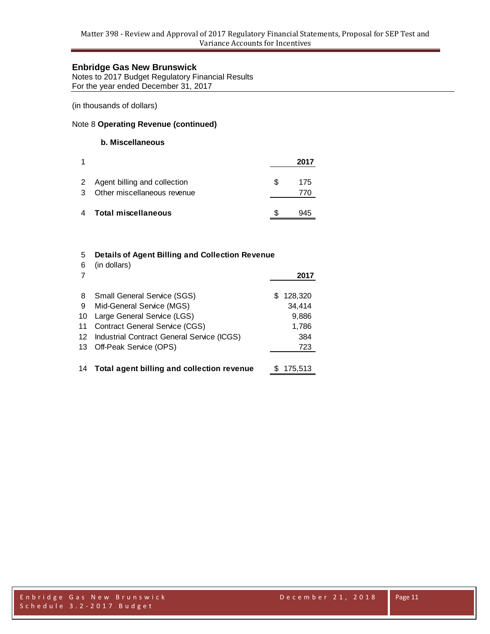Notes to 2017 Budget Regulatory Financial Results For the year ended December 31, 2017

(in thousands of dollars)

#### Note 8 **Operating Revenue (continued)**

#### **b. Miscellaneous**

|        |                                                             |    | 2017 |
|--------|-------------------------------------------------------------|----|------|
| 2<br>3 | Agent billing and collection<br>Other miscellaneous revenue | S. | 175  |
| 4      | <b>Total miscellaneous</b>                                  |    |      |

# 5 **Details of Agent Billing and Collection Revenue** 6 (in dollars) 7 **2017** 8 Small General Service (SGS) \$ 128,320 9 Mid-General Service (MGS) 34,414 10 Large General Service (LGS) 9,886 11 Contract General Service (CGS) 1,786 12 Industrial Contract General Service (ICGS) 384

- 13 Off-Peak Service (OPS) 723
- 14 **Total agent billing and collection revenue** \$ 175,513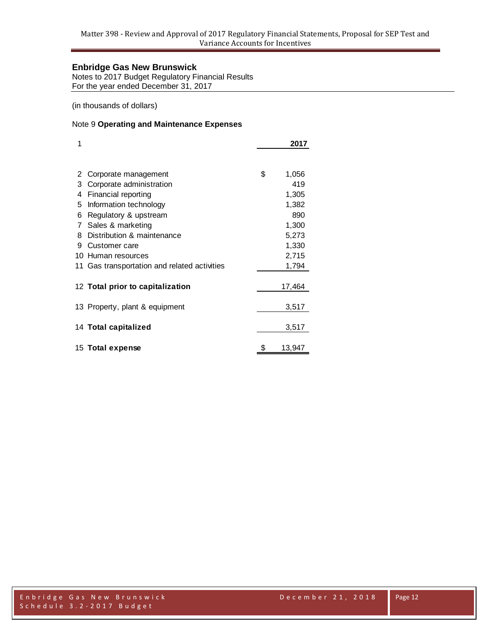Notes to 2017 Budget Regulatory Financial Results For the year ended December 31, 2017

(in thousands of dollars)

## Note 9 **Operating and Maintenance Expenses**

| 1  |                                           | 2017         |  |
|----|-------------------------------------------|--------------|--|
|    |                                           |              |  |
| 2  | Corporate management                      | \$<br>1,056  |  |
| 3  | Corporate administration                  | 419          |  |
| 4  | Financial reporting                       | 1,305        |  |
| 5  | Information technology                    | 1,382        |  |
| 6  | Regulatory & upstream                     | 890          |  |
| 7  | Sales & marketing                         | 1,300        |  |
| 8  | Distribution & maintenance                | 5,273        |  |
| 9  | Customer care                             | 1,330        |  |
| 10 | Human resources                           | 2,715        |  |
| 11 | Gas transportation and related activities | 1,794        |  |
|    | 12 Total prior to capitalization          | 17,464       |  |
|    | 13 Property, plant & equipment            | 3,517        |  |
|    | 14 Total capitalized                      | 3,517        |  |
|    | 15 Total expense                          | \$<br>13,947 |  |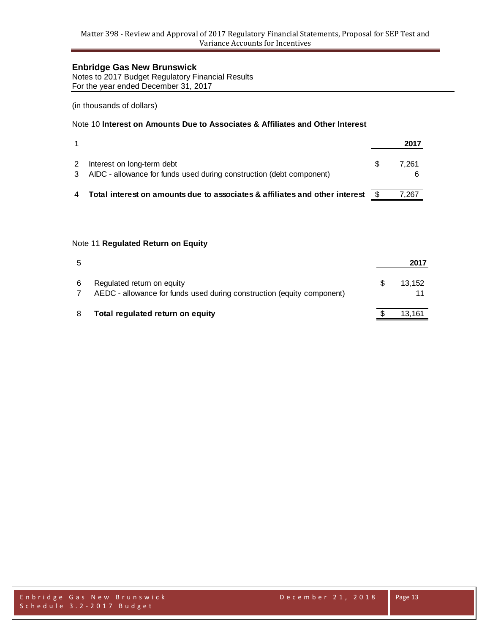Notes to 2017 Budget Regulatory Financial Results For the year ended December 31, 2017

(in thousands of dollars)

## Note 10 **Interest on Amounts Due to Associates & Affiliates and Other Interest**

|   |                                                                                                      | 2017  |
|---|------------------------------------------------------------------------------------------------------|-------|
| 2 | Interest on long-term debt<br>3 AIDC - allowance for funds used during construction (debt component) | 7.261 |
|   | Total interest on amounts due to associates & affiliates and other interest $$$                      | 7.267 |

#### Note 11 **Regulated Return on Equity**

| 5 |                                                                                                      | 2017   |
|---|------------------------------------------------------------------------------------------------------|--------|
| 6 | Regulated return on equity<br>AEDC - allowance for funds used during construction (equity component) | 13.152 |
| 8 | Total regulated return on equity                                                                     | 13,161 |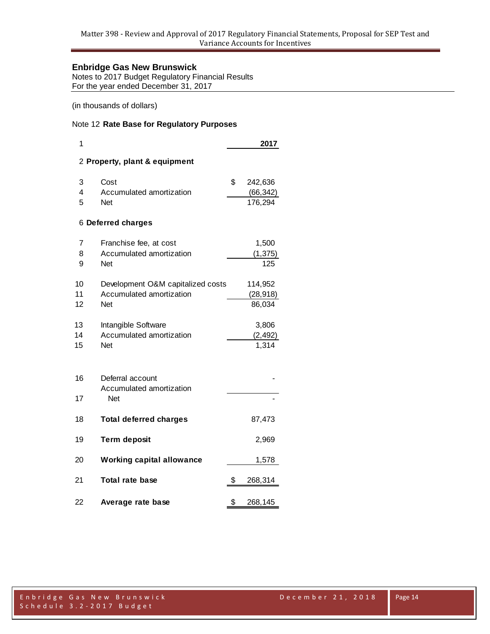Notes to 2017 Budget Regulatory Financial Results For the year ended December 31, 2017

(in thousands of dollars)

## Note 12 **Rate Base for Regulatory Purposes**

| 1  |                                   | 2017          |
|----|-----------------------------------|---------------|
|    | 2 Property, plant & equipment     |               |
| 3  | Cost                              | \$<br>242,636 |
| 4  | Accumulated amortization          | (66, 342)     |
| 5  | <b>Net</b>                        | 176,294       |
|    | 6 Deferred charges                |               |
| 7  | Franchise fee, at cost            | 1,500         |
| 8  | Accumulated amortization          | (1, 375)      |
| 9  | <b>Net</b>                        | 125           |
| 10 | Development O&M capitalized costs | 114,952       |
| 11 | Accumulated amortization          | (28, 918)     |
| 12 | <b>Net</b>                        | 86,034        |
| 13 | Intangible Software               | 3,806         |
| 14 | Accumulated amortization          | (2, 492)      |
| 15 | Net                               | 1,314         |
| 16 | Deferral account                  |               |
|    | Accumulated amortization          |               |
| 17 | <b>Net</b>                        |               |
| 18 | <b>Total deferred charges</b>     | 87,473        |
| 19 | <b>Term deposit</b>               | 2,969         |
| 20 | <b>Working capital allowance</b>  | 1,578         |
| 21 | <b>Total rate base</b>            | \$<br>268,314 |
| 22 | Average rate base                 | \$<br>268,145 |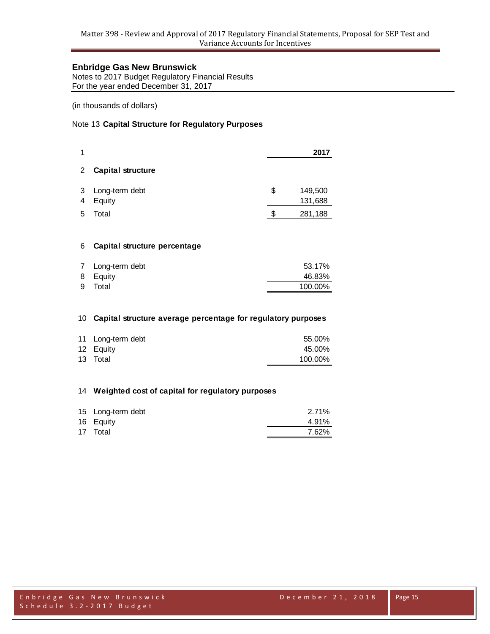Notes to 2017 Budget Regulatory Financial Results For the year ended December 31, 2017

(in thousands of dollars)

## Note 13 **Capital Structure for Regulatory Purposes**

| 1              |                          |    | 2017               |
|----------------|--------------------------|----|--------------------|
| $\overline{2}$ | <b>Capital structure</b> |    |                    |
| 3<br>4         | Long-term debt<br>Equity | \$ | 149,500<br>131,688 |
| 5              | Total                    | ß. | 281,188            |

#### **Capital structure percentage**

| 7 Long-term debt | 53.17%  |
|------------------|---------|
| 8 Equity         | 46.83%  |
| 9 Total          | 100.00% |

#### **Capital structure average percentage for regulatory purposes**

| 11 Long-term debt | 55.00%  |
|-------------------|---------|
| 12 Equity         | 45.00%  |
| 13 Total          | 100.00% |

#### **Weighted cost of capital for regulatory purposes**

| 15 Long-term debt | 2.71% |
|-------------------|-------|
| 16 Equity         | 4.91% |
| 17 Total          | 7.62% |